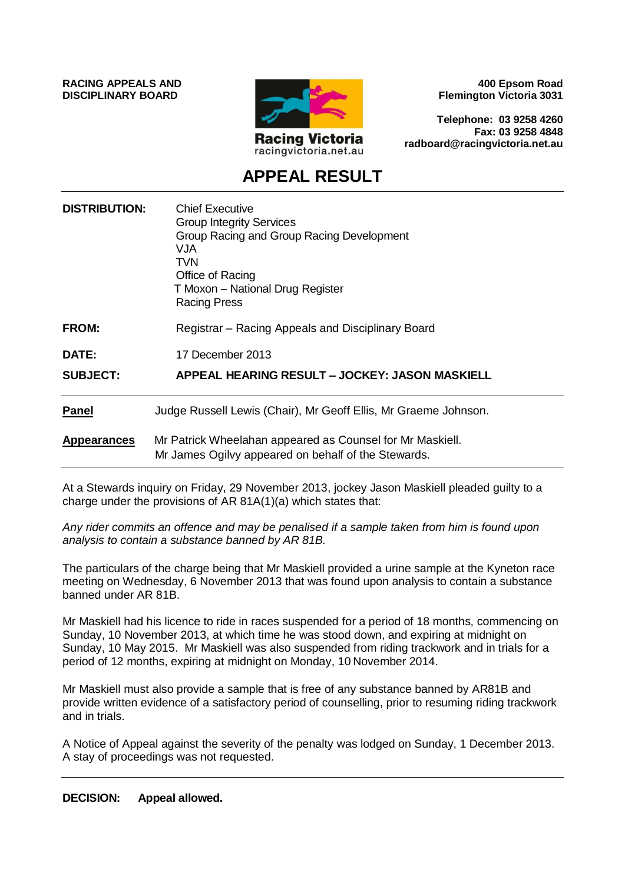**RACING APPEALS AND DISCIPLINARY BOARD**



**400 Epsom Road Flemington Victoria 3031**

**Telephone: 03 9258 4260 Fax: 03 9258 4848 radboard@racingvictoria.net.au**

# **APPEAL RESULT**

| <b>DISTRIBUTION:</b> | <b>Chief Executive</b><br><b>Group Integrity Services</b><br>Group Racing and Group Racing Development<br>VJA<br>TVN<br>Office of Racing<br>T Moxon - National Drug Register<br><b>Racing Press</b> |
|----------------------|-----------------------------------------------------------------------------------------------------------------------------------------------------------------------------------------------------|
| FROM:                | Registrar - Racing Appeals and Disciplinary Board                                                                                                                                                   |
| <b>DATE:</b>         | 17 December 2013                                                                                                                                                                                    |
| <b>SUBJECT:</b>      | APPEAL HEARING RESULT - JOCKEY: JASON MASKIELL                                                                                                                                                      |
| <b>Panel</b>         | Judge Russell Lewis (Chair), Mr Geoff Ellis, Mr Graeme Johnson.                                                                                                                                     |
| <b>Appearances</b>   | Mr Patrick Wheelahan appeared as Counsel for Mr Maskiell.<br>Mr James Ogilvy appeared on behalf of the Stewards.                                                                                    |

At a Stewards inquiry on Friday, 29 November 2013, jockey Jason Maskiell pleaded guilty to a charge under the provisions of AR 81A(1)(a) which states that:

*Any rider commits an offence and may be penalised if a sample taken from him is found upon analysis to contain a substance banned by AR 81B.*

The particulars of the charge being that Mr Maskiell provided a urine sample at the Kyneton race meeting on Wednesday, 6 November 2013 that was found upon analysis to contain a substance banned under AR 81B.

Mr Maskiell had his licence to ride in races suspended for a period of 18 months, commencing on Sunday, 10 November 2013, at which time he was stood down, and expiring at midnight on Sunday, 10 May 2015. Mr Maskiell was also suspended from riding trackwork and in trials for a period of 12 months, expiring at midnight on Monday, 10 November 2014.

Mr Maskiell must also provide a sample that is free of any substance banned by AR81B and provide written evidence of a satisfactory period of counselling, prior to resuming riding trackwork and in trials.

A Notice of Appeal against the severity of the penalty was lodged on Sunday, 1 December 2013. A stay of proceedings was not requested.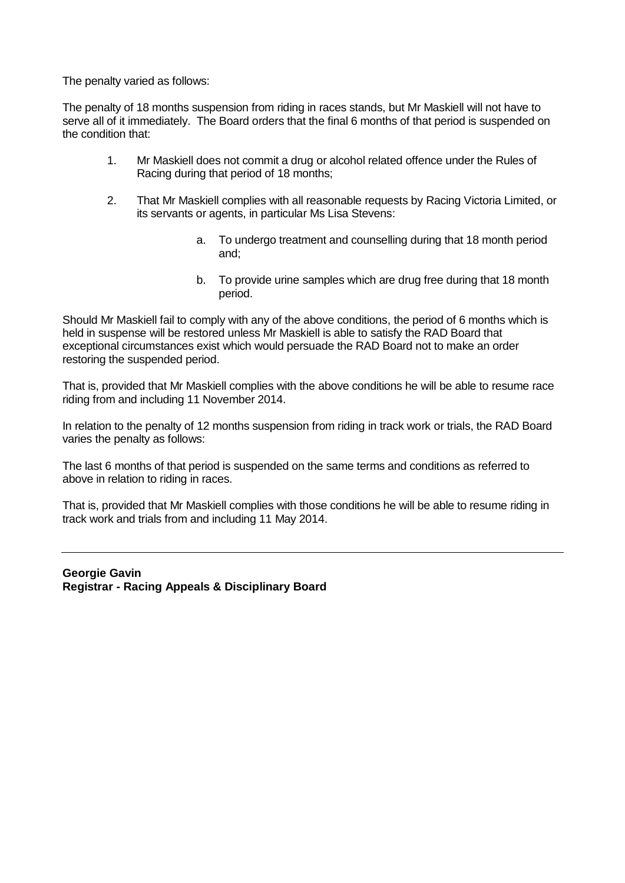The penalty varied as follows:

The penalty of 18 months suspension from riding in races stands, but Mr Maskiell will not have to serve all of it immediately. The Board orders that the final 6 months of that period is suspended on the condition that:

- 1. Mr Maskiell does not commit a drug or alcohol related offence under the Rules of Racing during that period of 18 months;
- 2. That Mr Maskiell complies with all reasonable requests by Racing Victoria Limited, or its servants or agents, in particular Ms Lisa Stevens:
	- a. To undergo treatment and counselling during that 18 month period and;
	- b. To provide urine samples which are drug free during that 18 month period.

Should Mr Maskiell fail to comply with any of the above conditions, the period of 6 months which is held in suspense will be restored unless Mr Maskiell is able to satisfy the RAD Board that exceptional circumstances exist which would persuade the RAD Board not to make an order restoring the suspended period.

That is, provided that Mr Maskiell complies with the above conditions he will be able to resume race riding from and including 11 November 2014.

In relation to the penalty of 12 months suspension from riding in track work or trials, the RAD Board varies the penalty as follows:

The last 6 months of that period is suspended on the same terms and conditions as referred to above in relation to riding in races.

That is, provided that Mr Maskiell complies with those conditions he will be able to resume riding in track work and trials from and including 11 May 2014.

**Georgie Gavin Registrar - Racing Appeals & Disciplinary Board**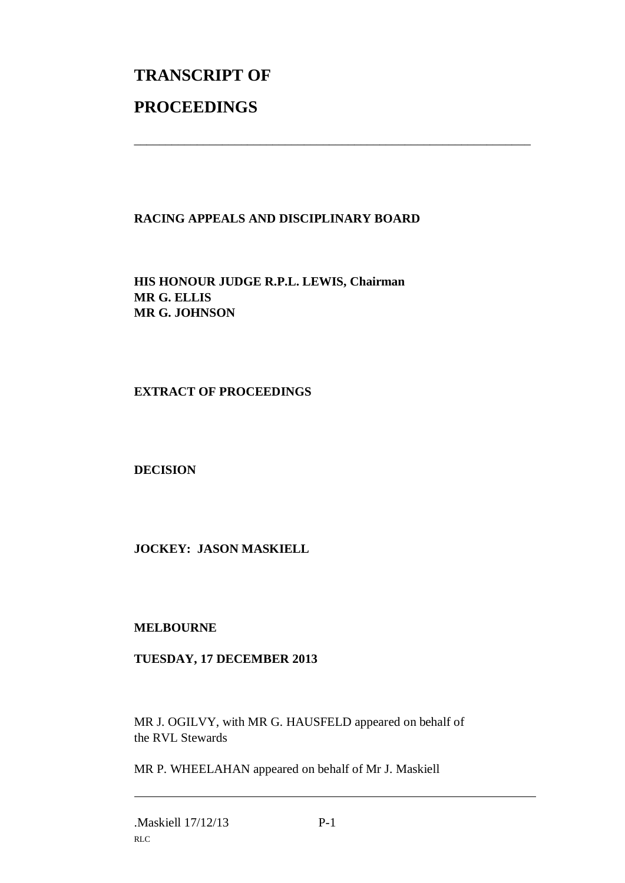# **TRANSCRIPT OF PROCEEDINGS**

# **RACING APPEALS AND DISCIPLINARY BOARD**

\_\_\_\_\_\_\_\_\_\_\_\_\_\_\_\_\_\_\_\_\_\_\_\_\_\_\_\_\_\_\_\_\_\_\_\_\_\_\_\_\_\_\_\_\_\_\_\_\_\_\_\_\_\_\_\_\_\_\_\_\_\_\_

**HIS HONOUR JUDGE R.P.L. LEWIS, Chairman MR G. ELLIS MR G. JOHNSON**

### **EXTRACT OF PROCEEDINGS**

#### **DECISION**

## **JOCKEY: JASON MASKIELL**

#### **MELBOURNE**

#### **TUESDAY, 17 DECEMBER 2013**

MR J. OGILVY, with MR G. HAUSFELD appeared on behalf of the RVL Stewards

MR P. WHEELAHAN appeared on behalf of Mr J. Maskiell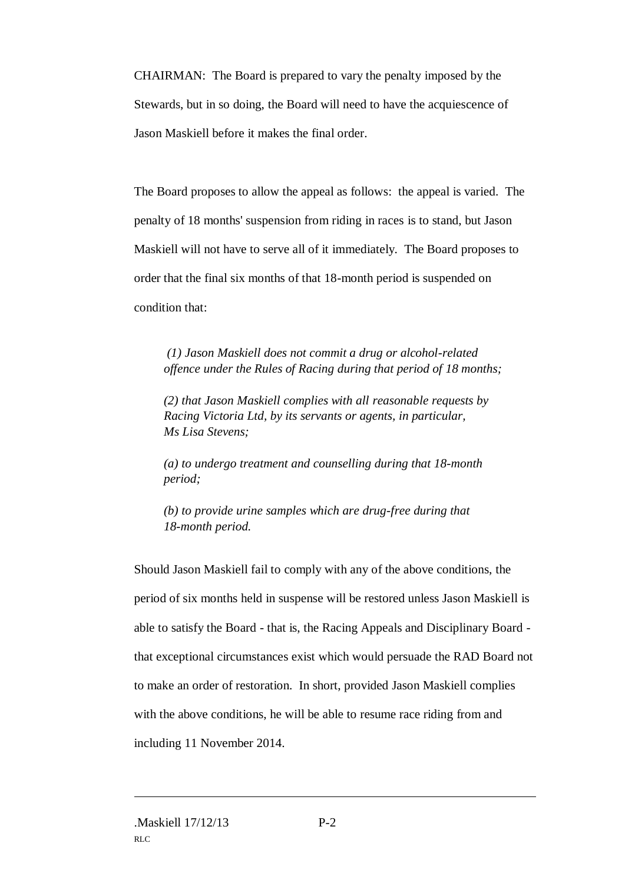CHAIRMAN: The Board is prepared to vary the penalty imposed by the Stewards, but in so doing, the Board will need to have the acquiescence of Jason Maskiell before it makes the final order.

The Board proposes to allow the appeal as follows: the appeal is varied. The penalty of 18 months' suspension from riding in races is to stand, but Jason Maskiell will not have to serve all of it immediately. The Board proposes to order that the final six months of that 18-month period is suspended on condition that:

*(1) Jason Maskiell does not commit a drug or alcohol-related offence under the Rules of Racing during that period of 18 months;* 

*(2) that Jason Maskiell complies with all reasonable requests by Racing Victoria Ltd, by its servants or agents, in particular, Ms Lisa Stevens;* 

*(a) to undergo treatment and counselling during that 18-month period;* 

*(b) to provide urine samples which are drug-free during that 18-month period.*

Should Jason Maskiell fail to comply with any of the above conditions, the period of six months held in suspense will be restored unless Jason Maskiell is able to satisfy the Board - that is, the Racing Appeals and Disciplinary Board that exceptional circumstances exist which would persuade the RAD Board not to make an order of restoration. In short, provided Jason Maskiell complies with the above conditions, he will be able to resume race riding from and including 11 November 2014.